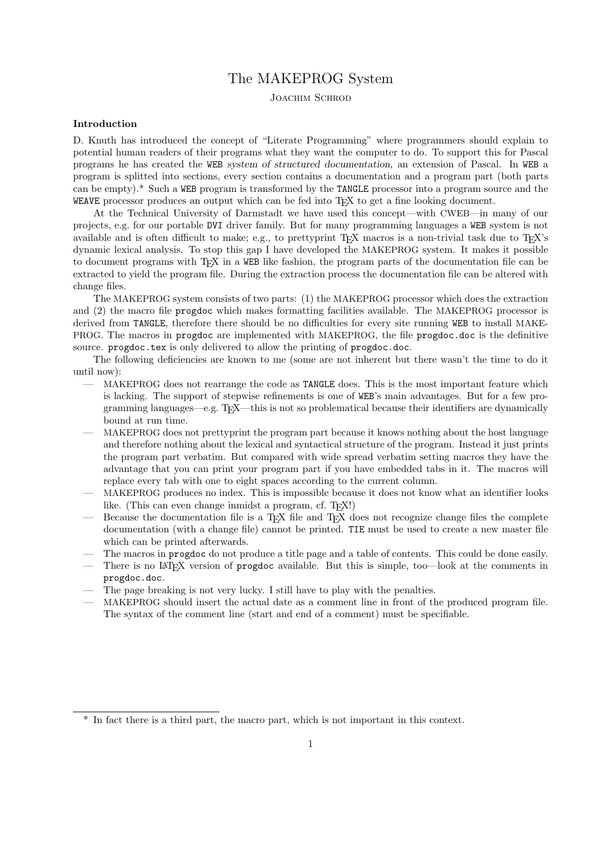# The MAKEPROG System

JOACHIM SCHROD

## Introduction

D. Knuth has introduced the concept of "Literate Programming" where programmers should explain to potential human readers of their programs what they want the computer to do. To support this for Pascal programs he has created the WEB system of structured documentation, an extension of Pascal. In WEB a program is splitted into sections, every section contains a documentation and a program part (both parts can be empty).\* Such a WEB program is transformed by the TANGLE processor into a program source and the WEAVE processor produces an output which can be fed into T<sub>EX</sub> to get a fine looking document.

At the Technical University of Darmstadt we have used this concept—with CWEB—in many of our projects, e.g. for our portable DVI driver family. But for many programming languages a WEB system is not available and is often difficult to make; e.g., to prettyprint TFX macros is a non-trivial task due to TFX's dynamic lexical analysis. To stop this gap I have developed the MAKEPROG system. It makes it possible to document programs with TEX in a WEB like fashion, the program parts of the documentation file can be extracted to yield the program file. During the extraction process the documentation file can be altered with change files.

The MAKEPROG system consists of two parts: (1) the MAKEPROG processor which does the extraction and (2) the macro file progdoc which makes formatting facilities available. The MAKEPROG processor is derived from TANGLE, therefore there should be no difficulties for every site running WEB to install MAKE-PROG. The macros in progdoc are implemented with MAKEPROG, the file progdoc.doc is the definitive source. progdoc.tex is only delivered to allow the printing of progdoc.doc.

The following deficiencies are known to me (some are not inherent but there wasn't the time to do it until now):

- MAKEPROG does not rearrange the code as TANGLE does. This is the most important feature which is lacking. The support of stepwise refinements is one of WEB's main advantages. But for a few programming languages—e.g. T<sub>EX</sub>—this is not so problematical because their identifiers are dynamically bound at run time.
- MAKEPROG does not prettyprint the program part because it knows nothing about the host language and therefore nothing about the lexical and syntactical structure of the program. Instead it just prints the program part verbatim. But compared with wide spread verbatim setting macros they have the advantage that you can print your program part if you have embedded tabs in it. The macros will replace every tab with one to eight spaces according to the current column.
- MAKEPROG produces no index. This is impossible because it does not know what an identifier looks like. (This can even change inmidst a program, cf. T<sub>E</sub>X!)
- Because the documentation file is a T<sub>E</sub>X file and T<sub>E</sub>X does not recognize change files the complete documentation (with a change file) cannot be printed. TIE must be used to create a new master file which can be printed afterwards.
- The macros in progdoc do not produce a title page and a table of contents. This could be done easily.
- There is no LAT<sub>EX</sub> version of progdoc available. But this is simple, too—look at the comments in progdoc.doc.
- The page breaking is not very lucky. I still have to play with the penalties.
- MAKEPROG should insert the actual date as a comment line in front of the produced program file. The syntax of the comment line (start and end of a comment) must be specifiable.

<sup>\*</sup> In fact there is a third part, the macro part, which is not important in this context.